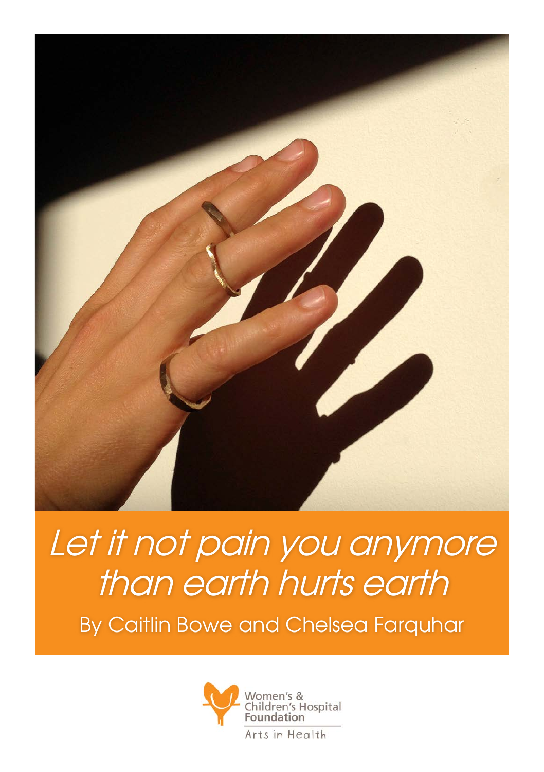

Let it not pain you anymore than earth hurts earth By Caitlin Bowe and Chelsea Farquhar

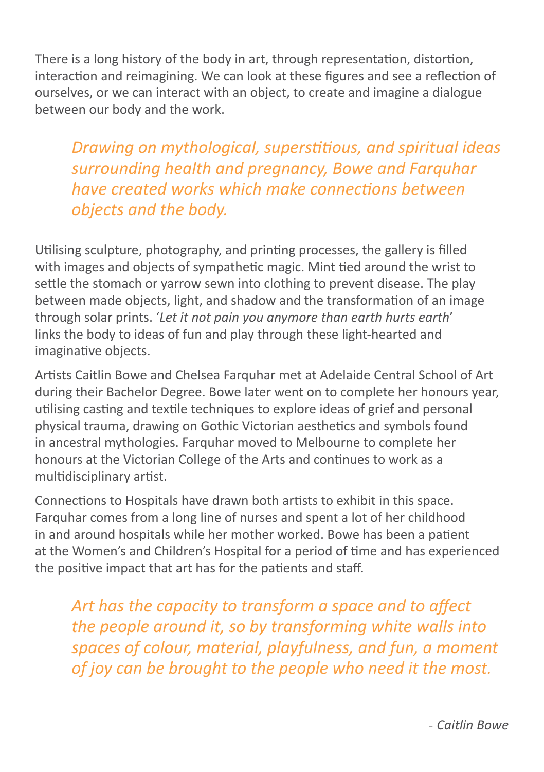There is a long history of the body in art, through representation, distortion, interaction and reimagining. We can look at these figures and see a reflection of ourselves, or we can interact with an object, to create and imagine a dialogue between our body and the work.

*Drawing on mythological, superstitious, and spiritual ideas surrounding health and pregnancy, Bowe and Farquhar have created works which make connections between objects and the body.* 

Utilising sculpture, photography, and printing processes, the gallery is filled with images and objects of sympathetic magic. Mint tied around the wrist to settle the stomach or yarrow sewn into clothing to prevent disease. The play between made objects, light, and shadow and the transformation of an image through solar prints. '*Let it not pain you anymore than earth hurts earth*' links the body to ideas of fun and play through these light-hearted and imaginative objects.

Artists Caitlin Bowe and Chelsea Farquhar met at Adelaide Central School of Art during their Bachelor Degree. Bowe later went on to complete her honours year, utilising casting and textile techniques to explore ideas of grief and personal physical trauma, drawing on Gothic Victorian aesthetics and symbols found in ancestral mythologies. Farquhar moved to Melbourne to complete her honours at the Victorian College of the Arts and continues to work as a multidisciplinary artist.

Connections to Hospitals have drawn both artists to exhibit in this space. Farquhar comes from a long line of nurses and spent a lot of her childhood in and around hospitals while her mother worked. Bowe has been a patient at the Women's and Children's Hospital for a period of time and has experienced the positive impact that art has for the patients and staff.

*Art has the capacity to transform a space and to affect the people around it, so by transforming white walls into spaces of colour, material, playfulness, and fun, a moment of joy can be brought to the people who need it the most.*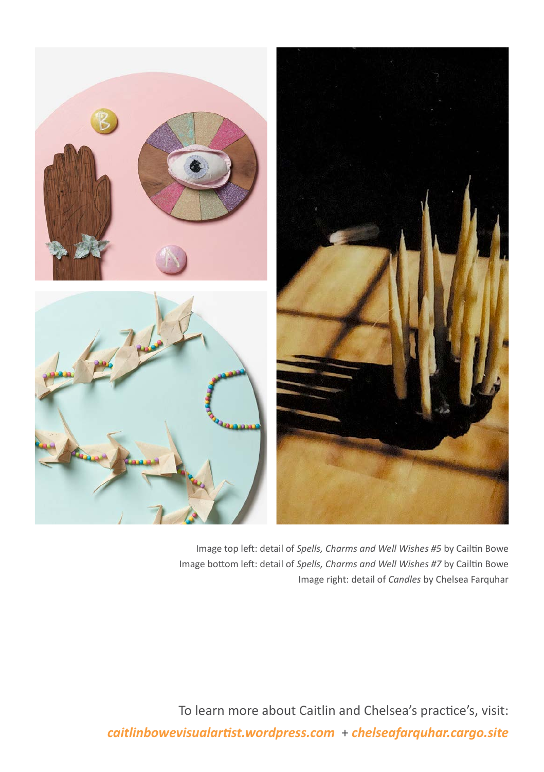

Image top left: detail of *Spells, Charms and Well Wishes #5* by Cailtin Bowe Image bottom left: detail of *Spells, Charms and Well Wishes #7* by Cailtin Bowe Image right: detail of *Candles* by Chelsea Farquhar

To learn more about Caitlin and Chelsea's practice's, visit: *caitlinbowevisualartist.wordpress.com* + *chelseafarquhar.cargo.site*